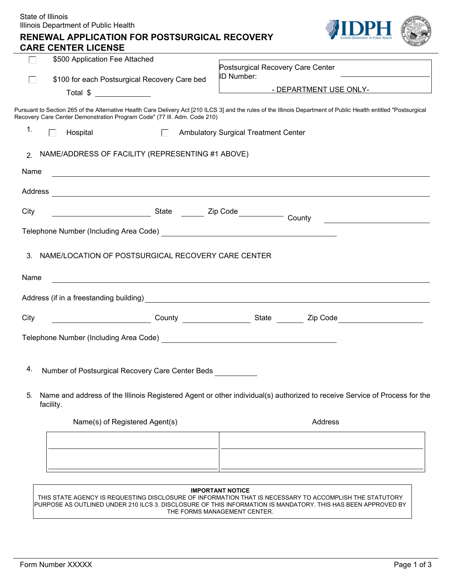|               | State of Illinois<br>Illinois Department of Public Health<br><b>RENEWAL APPLICATION FOR POSTSURGICAL RECOVERY</b>                                                                                                                             |                                                                                                                                                                                                                                      |                        |
|---------------|-----------------------------------------------------------------------------------------------------------------------------------------------------------------------------------------------------------------------------------------------|--------------------------------------------------------------------------------------------------------------------------------------------------------------------------------------------------------------------------------------|------------------------|
|               | <b>CARE CENTER LICENSE</b>                                                                                                                                                                                                                    |                                                                                                                                                                                                                                      |                        |
|               | \$500 Application Fee Attached                                                                                                                                                                                                                | Postsurgical Recovery Care Center<br>ID Number:                                                                                                                                                                                      |                        |
|               | \$100 for each Postsurgical Recovery Care bed<br>Total \$                                                                                                                                                                                     | <u> The Community of the Community of the Community of the Community of the Community of the Community of the Community of the Community of the Community of the Community of the Community of the Community of the Community of</u> | - DEPARTMENT USE ONLY- |
|               |                                                                                                                                                                                                                                               |                                                                                                                                                                                                                                      |                        |
|               | Pursuant to Section 265 of the Alternative Health Care Delivery Act [210 ILCS 3] and the rules of the Illinois Department of Public Health entitled "Postsurgical<br>Recovery Care Center Demonstration Program Code" (77 III. Adm. Code 210) |                                                                                                                                                                                                                                      |                        |
| 1.            | Hospital<br>$\Box$<br>ГT.                                                                                                                                                                                                                     | <b>Ambulatory Surgical Treatment Center</b>                                                                                                                                                                                          |                        |
| $\mathcal{P}$ | NAME/ADDRESS OF FACILITY (REPRESENTING #1 ABOVE)                                                                                                                                                                                              |                                                                                                                                                                                                                                      |                        |
| Name          |                                                                                                                                                                                                                                               |                                                                                                                                                                                                                                      |                        |
| Address       | <u> 1989 - Johann Stein, fransk politik (f. 1989)</u>                                                                                                                                                                                         |                                                                                                                                                                                                                                      |                        |
| City          |                                                                                                                                                                                                                                               |                                                                                                                                                                                                                                      |                        |
|               |                                                                                                                                                                                                                                               |                                                                                                                                                                                                                                      |                        |
|               |                                                                                                                                                                                                                                               |                                                                                                                                                                                                                                      |                        |
| 3.            | NAME/LOCATION OF POSTSURGICAL RECOVERY CARE CENTER                                                                                                                                                                                            |                                                                                                                                                                                                                                      |                        |
| Name          |                                                                                                                                                                                                                                               |                                                                                                                                                                                                                                      |                        |
|               |                                                                                                                                                                                                                                               |                                                                                                                                                                                                                                      |                        |
| City          |                                                                                                                                                                                                                                               |                                                                                                                                                                                                                                      |                        |
|               | Telephone Number (Including Area Code)                                                                                                                                                                                                        |                                                                                                                                                                                                                                      |                        |
|               |                                                                                                                                                                                                                                               |                                                                                                                                                                                                                                      |                        |
| 4.            | Number of Postsurgical Recovery Care Center Beds                                                                                                                                                                                              |                                                                                                                                                                                                                                      |                        |
| 5.            | Name and address of the Illinois Registered Agent or other individual(s) authorized to receive Service of Process for the<br>facility.                                                                                                        |                                                                                                                                                                                                                                      |                        |
|               | Name(s) of Registered Agent(s)                                                                                                                                                                                                                |                                                                                                                                                                                                                                      | Address                |
|               |                                                                                                                                                                                                                                               |                                                                                                                                                                                                                                      |                        |
|               |                                                                                                                                                                                                                                               |                                                                                                                                                                                                                                      |                        |
|               |                                                                                                                                                                                                                                               |                                                                                                                                                                                                                                      |                        |
|               |                                                                                                                                                                                                                                               | <b>IMPORTANT NOTICE</b>                                                                                                                                                                                                              |                        |
|               | ACENCY IS DEOLIESTING DISCLOSUDE OF INEODMATION THAT IS NECESSADY TO ACCOMDITISH THE STATLITODY                                                                                                                                               |                                                                                                                                                                                                                                      |                        |

THIS STATE AGENCY IS REQUESTING DISCLOSURE OF INFORMATION THAT IS NECESSARY TO ACCOMPLISH THE STATUTORY PURPOSE AS OUTLINED UNDER 210 ILCS 3. DISCLOSURE OF THIS INFORMATION IS MANDATORY. THIS HAS BEEN APPROVED BY THE FORMS MANAGEMENT CENTER.

 $\overline{\phantom{a}}$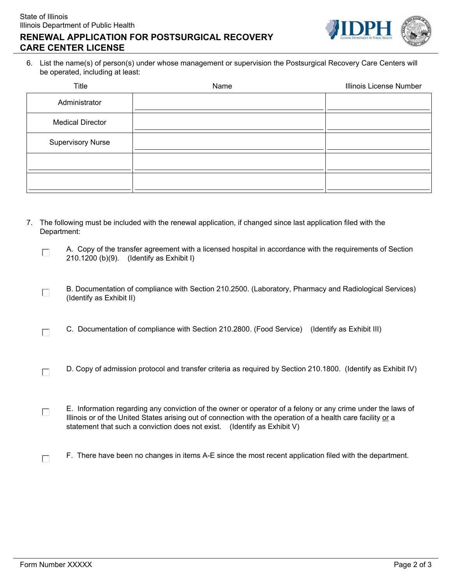



6. List the name(s) of person(s) under whose management or supervision the Postsurgical Recovery Care Centers will be operated, including at least:

| Title                    | Name | Illinois License Number |
|--------------------------|------|-------------------------|
| Administrator            |      |                         |
| <b>Medical Director</b>  |      |                         |
| <b>Supervisory Nurse</b> |      |                         |
|                          |      |                         |
|                          |      |                         |

- 7. The following must be included with the renewal application, if changed since last application filed with the Department:
	- A. Copy of the transfer agreement with a licensed hospital in accordance with the requirements of Section  $\Box$ 210.1200 (b)(9). (Identify as Exhibit I)
	- B. Documentation of compliance with Section 210.2500. (Laboratory, Pharmacy and Radiological Services)  $\Box$ (Identify as Exhibit II)
	- C. Documentation of compliance with Section 210.2800. (Food Service) (Identify as Exhibit III)  $\Box$
	- D. Copy of admission protocol and transfer criteria as required by Section 210.1800. (Identify as Exhibit IV)  $\Box$
	- E. Information regarding any conviction of the owner or operator of a felony or any crime under the laws of  $\Box$ Illinois or of the United States arising out of connection with the operation of a health care facility or a statement that such a conviction does not exist. (Identify as Exhibit V)
		- F. There have been no changes in items A-E since the most recent application filed with the department.

 $\Box$